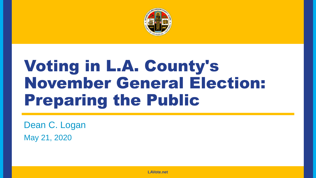

## Voting in L.A. County's November General Election: Preparing the Public

Dean C. Logan May 21, 2020

**LAVote.net LAVote.net**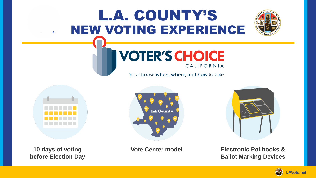## L.A. COUNTY'S NEW VOTING EXPERIENCE



### **VOTER'S CHOICE** CALIFORNIA

You choose when, where, and how to vote



**10 days of voting before Election Day**





### **Vote Center model Electronic Pollbooks & Ballot Marking Devices**

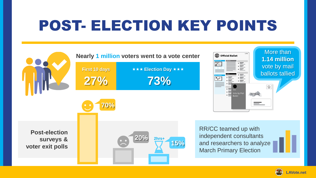## POST- ELECTION KEY POINTS



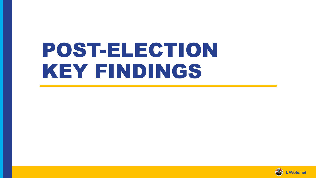# POST-ELECTION KEY FINDINGS

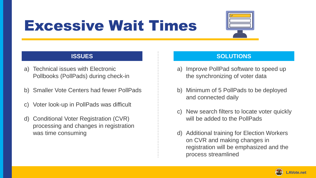## Excessive Wait Times



- a) Technical issues with Electronic Pollbooks (PollPads) during check-in
- b) Smaller Vote Centers had fewer PollPads
- c) Voter look-up in PollPads was difficult
- d) Conditional Voter Registration (CVR) processing and changes in registration was time consuming

- a) Improve PollPad software to speed up the synchronizing of voter data
- b) Minimum of 5 PollPads to be deployed and connected daily
- c) New search filters to locate voter quickly will be added to the PollPads
- d) Additional training for Election Workers on CVR and making changes in registration will be emphasized and the process streamlined

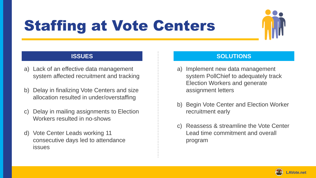## Staffing at Vote Centers



- a) Lack of an effective data management system affected recruitment and tracking
- b) Delay in finalizing Vote Centers and size allocation resulted in under/overstaffing
- c) Delay in mailing assignments to Election Workers resulted in no-shows
- d) Vote Center Leads working 11 consecutive days led to attendance issues

- a) Implement new data management system PollChief to adequately track Election Workers and generate assignment letters
- b) Begin Vote Center and Election Worker recruitment early
- c) Reassess & streamline the Vote Center Lead time commitment and overall program

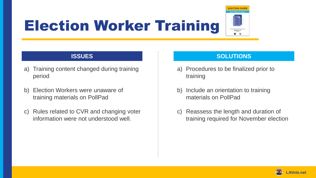## Election Worker Training



- a) Training content changed during training period
- b) Election Workers were unaware of training materials on PollPad
- c) Rules related to CVR and changing voter information were not understood well.

- a) Procedures to be finalized prior to training
- b) Include an orientation to training materials on PollPad
- c) Reassess the length and duration of training required for November election

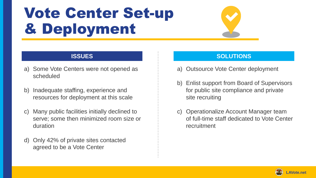## Vote Center Set-up & Deployment

- a) Some Vote Centers were not opened as scheduled
- b) Inadequate staffing, experience and resources for deployment at this scale
- c) Many public facilities initially declined to serve; some then minimized room size or duration
- d) Only 42% of private sites contacted agreed to be a Vote Center

- a) Outsource Vote Center deployment
- b) Enlist support from Board of Supervisors for public site compliance and private site recruiting
- c) Operationalize Account Manager team of full-time staff dedicated to Vote Center recruitment

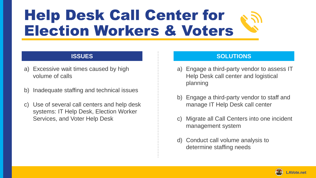## Help Desk Call Center for Election Workers & Voters

- a) Excessive wait times caused by high volume of calls
- b) Inadequate staffing and technical issues
- c) Use of several call centers and help desk systems: IT Help Desk, Election Worker Services, and Voter Help Desk

- a) Engage a third-party vendor to assess IT Help Desk call center and logistical planning
- b) Engage a third-party vendor to staff and manage IT Help Desk call center
- c) Migrate all Call Centers into one incident management system
- d) Conduct call volume analysis to determine staffing needs

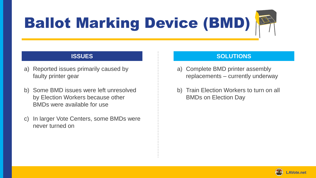# Ballot Marking Device (BMD)

- a) Reported issues primarily caused by faulty printer gear
- b) Some BMD issues were left unresolved by Election Workers because other BMDs were available for use
- c) In larger Vote Centers, some BMDs were never turned on

- a) Complete BMD printer assembly replacements – currently underway
- b) Train Election Workers to turn on all BMDs on Election Day

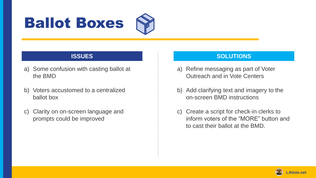## Ballot Boxes



- a) Some confusion with casting ballot at the BMD
- b) Voters accustomed to a centralized ballot box
- c) Clarity on on-screen language and prompts could be improved

- a) Refine messaging as part of Voter Outreach and in Vote Centers
- b) Add clarifying text and imagery to the on-screen BMD instructions
- c) Create a script for check-in clerks to inform voters of the "MORE" button and to cast their ballot at the BMD.

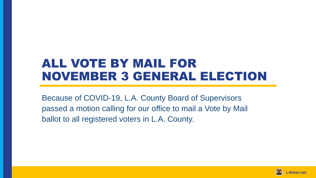### ALL VOTE BY MAIL FOR NOVEMBER 3 GENERAL ELECTION

Because of COVID-19, L.A. County Board of Supervisors passed a motion calling for our office to mail a Vote by Mail ballot to all registered voters in L.A. County.

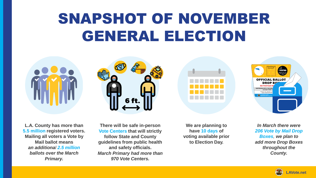## SNAPSHOT OF NOVEMBER GENERAL ELECTION



**L.A. County has more than 5.5 million registered voters. Mailing all voters a Vote by Mail ballot means** *an additional 2.5 million ballots over the March Primary.*

**There will be safe in-person Vote Centers that will strictly follow State and County guidelines from public health and safety officials.**  *March Primary had more than 970 Vote Centers.*

6 ft

**We are planning to have 10 days of voting available prior to Election Day.**



*In March there were 206 Vote by Mail Drop Boxes, we plan to add more Drop Boxes throughout the County.*

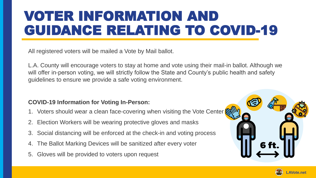## VOTER INFORMATION AND GUIDANCE RELATING TO COVID-19

All registered voters will be mailed a Vote by Mail ballot.

L.A. County will encourage voters to stay at home and vote using their mail-in ballot. Although we will offer in-person voting, we will strictly follow the State and County's public health and safety guidelines to ensure we provide a safe voting environment.

### **COVID-19 Information for Voting In-Person:**

- 1. Voters should wear a clean face-covering when visiting the Vote Center
- 2. Election Workers will be wearing protective gloves and masks
- 3. Social distancing will be enforced at the check-in and voting process
- 4. The Ballot Marking Devices will be sanitized after every voter
- 5. Gloves will be provided to voters upon request



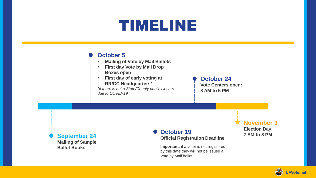### TIMELINE

### **October 5**

- **Mailing of Vote by Mail Ballots**
- **First day Vote by Mail Drop Boxes open**
- **First day of early voting at RR/CC Headquarters\***

*\*if there is not a State/County public closure due to COVID-19* 

**October 24 Vote Centers open: 8 AM to 5 PM** 

**September 24 Mailing of Sample Ballot Books** 

### **October 19**

**Official Registration Deadline** 

**Important:** if a voter is not registered by this date they will not be issued a Vote by Mail ballot

**November 3 Election Day 7 AM to 8 PM** 

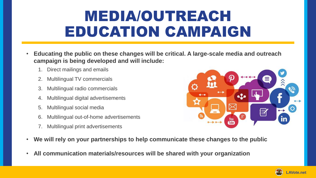## MEDIA/OUTREACH EDUCATION CAMPAIGN

- **Educating the public on these changes will be critical. A large-scale media and outreach campaign is being developed and will include:**
	- 1. Direct mailings and emails
	- 2. Multilingual TV commercials
	- 3. Multilingual radio commercials
	- Multilingual digital advertisements
	- 5. Multilingual social media
	- Multilingual out-of-home advertisements
	- 7. Multilingual print advertisements



- **We will rely on your partnerships to help communicate these changes to the public**
- **All communication materials/resources will be shared with your organization**